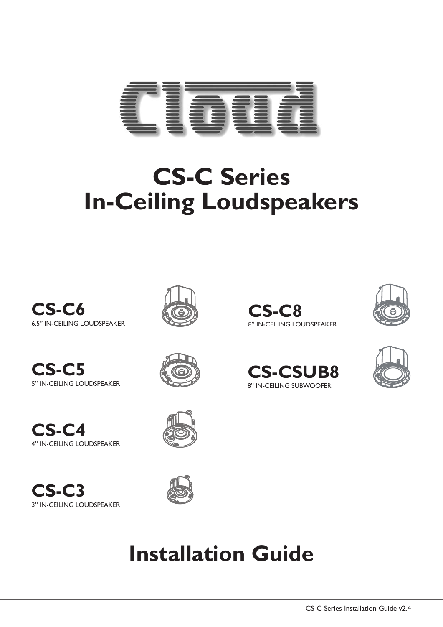

# **CS-C Series In-Ceiling Loudspeakers**















## **Installation Guide**





6.5" IN-CEILING LOUDSPEAKER 8" IN-CEILING LOUDSPEAKER

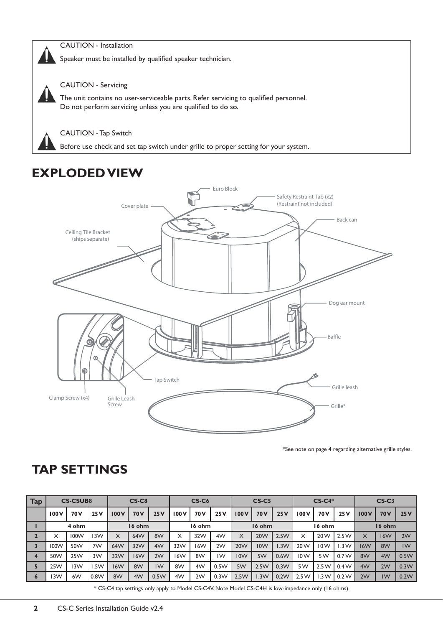

CAUTION - Installation

Speaker must be installed by qualified speaker technician.



CAUTION - Servicing

The unit contains no user-serviceable parts. Refer servicing to qualified personnel. Do not perform servicing unless you are qualified to do so.

CAUTION - Tap Switch

Before use check and set tap switch under grille to proper setting for your system.

## **EXPLODED VIEW**



\*See note on page 4 regarding alternative grille styles.

### **TAP SETTINGS**

| <b>Tap</b>       | <b>CS-CSUB8</b> |      |      | $CS-C8$    |                 |      | $CS-C6$ |                 |      | <b>CS-C5</b>    |                 |      | $CS-C4*$ |                 |       | $CS-C3$    |                 |      |
|------------------|-----------------|------|------|------------|-----------------|------|---------|-----------------|------|-----------------|-----------------|------|----------|-----------------|-------|------------|-----------------|------|
|                  | 100 V           | 70 V | 25V  | 100V       | 70 <sub>V</sub> | 25V  | 100V    | 70 <sub>V</sub> | 25V  | 100V            | 70 <sub>V</sub> | 25V  | 100 V    | 70 <sub>V</sub> | 25V   | 100 V      | 70 <sub>V</sub> | 25V  |
|                  | 4 ohm           |      |      | 16 ohm     |                 |      | 16 ohm  |                 |      | 16 ohm          |                 |      | 16 ohm   |                 |       | 16 ohm     |                 |      |
|                  | X               | 100W | 3W   | X          | 64W             | 8W   | X       | 32W             | 4W   | X               | 20W             | 2.5W | X        | 20 W            | 2.5W  | X          | <b>16W</b>      | 2W   |
|                  | 100W            | 50W  | 7W   | 64W        | 32W             | 4W   | 32W     | 16W             | 2W   | 20 <sub>W</sub> | <b>IOW</b>      | .3W  | 20 W     | 10W             | 1.3 W | <b>16W</b> | 8W              | IW   |
| $\boldsymbol{4}$ | 50W             | 25W  | 3W   | 32W        | 16W             | 2W   | 16W     | 8W              | IW   | 10W             | 5W              | 0.6W | 10W      | 5W              | 0.7W  | 8W         | 4W              | 0.5W |
| Ы                | 25W             | 3W   | .5W  | <b>16W</b> | 8W              | IW   | 8W      | 4W              | 0.5W | 5W              | 2.5W            | 0.3W | 5W       | 2.5W            | 0.4W  | 4W         | 2W              | 0.3W |
| $\bullet$        | 3W              | 6W   | 0.8W | 8W         | 4W              | 0.5W | 4W      | 2W              | 0.3W | 2.5W            | .3W             | 0.2W | 2.5W     | 1.3 W           | 0.2W  | 2W         | 1W              | 0.2W |

\* CS-C4 tap settings only apply to Model CS-C4V. Note Model CS-C4H is low-impedance only (16 ohms).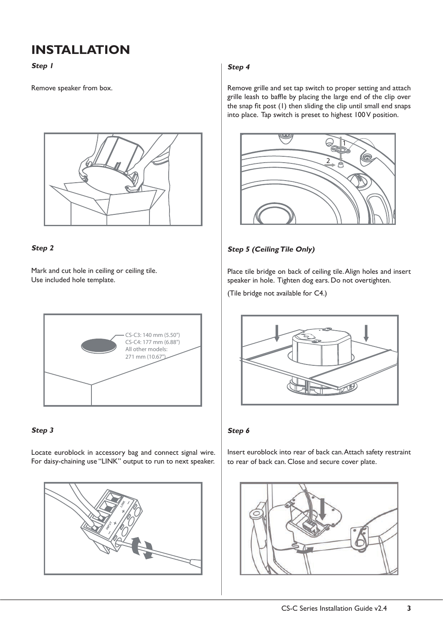## **INSTALLATION**

**Step 1**

Remove speaker from box.



#### **Step 2**

Mark and cut hole in ceiling or ceiling tile. Use included hole template.



#### **Step 3**

Locate euroblock in accessory bag and connect signal wire. For daisy-chaining use "LINK" output to run to next speaker.



#### **Step 4**

Remove grille and set tap switch to proper setting and attach grille leash to baffle by placing the large end of the clip over the snap fit post (1) then sliding the clip until small end snaps into place. Tap switch is preset to highest 100 V position.



#### **Step 5 (Ceiling Tile Only)**

Place tile bridge on back of ceiling tile. Align holes and insert speaker in hole. Tighten dog ears. Do not overtighten.

(Tile bridge not available for C4.)



#### **Step 6**

Insert euroblock into rear of back can. Attach safety restraint to rear of back can. Close and secure cover plate.